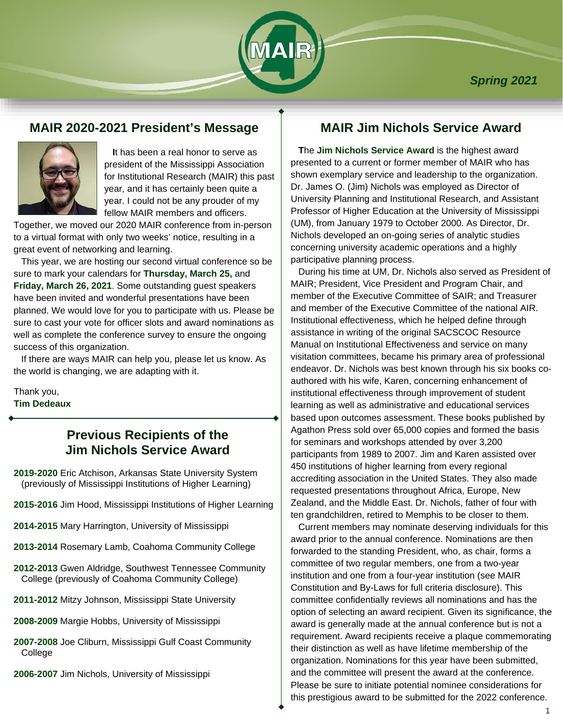

### **MAIR 2020-2021 President's Message**



 **I**t has been a real honor to serve as president of the Mississippi Association for Institutional Research (MAIR) this past year, and it has certainly been quite a year. I could not be any prouder of my fellow MAIR members and officers.

Together, we moved our 2020 MAIR conference from in-person to a virtual format with only two weeks' notice, resulting in a great event of networking and learning.

 This year, we are hosting our second virtual conference so be sure to mark your calendars for **Thursday, March 25,** and **Friday, March 26, 2021**. Some outstanding guest speakers have been invited and wonderful presentations have been planned. We would love for you to participate with us. Please be sure to cast your vote for officer slots and award nominations as well as complete the conference survey to ensure the ongoing success of this organization.

 If there are ways MAIR can help you, please let us know. As the world is changing, we are adapting with it.

Thank you, **Tim Dedeaux**

# **Previous Recipients of the Jim Nichols Service Award**

- **2019-2020** Eric Atchison, Arkansas State University System (previously of Mississippi Institutions of Higher Learning)
- **2015-2016** Jim Hood, Mississippi Institutions of Higher Learning
- **2014-2015** Mary Harrington, University of Mississippi
- **2013-2014** Rosemary Lamb, Coahoma Community College
- **2012-2013** Gwen Aldridge, Southwest Tennessee Community College (previously of Coahoma Community College)
- **2011-2012** Mitzy Johnson, Mississippi State University
- **2008-2009** Margie Hobbs, University of Mississippi
- **2007-2008** Joe Cliburn, Mississippi Gulf Coast Community College
- **2006-2007** Jim Nichols, University of Mississippi

# **MAIR Jim Nichols Service Award**

 **T**he **Jim Nichols Service Award** is the highest award presented to a current or former member of MAIR who has shown exemplary service and leadership to the organization. Dr. James O. (Jim) Nichols was employed as Director of University Planning and Institutional Research, and Assistant Professor of Higher Education at the University of Mississippi (UM), from January 1979 to October 2000. As Director, Dr. Nichols developed an on-going series of analytic studies concerning university academic operations and a highly participative planning process.

 During his time at UM, Dr. Nichols also served as President of MAIR; President, Vice President and Program Chair, and member of the Executive Committee of SAIR; and Treasurer and member of the Executive Committee of the national AIR. Institutional effectiveness, which he helped define through assistance in writing of the original SACSCOC Resource Manual on Institutional Effectiveness and service on many visitation committees, became his primary area of professional endeavor. Dr. Nichols was best known through his six books coauthored with his wife, Karen, concerning enhancement of institutional effectiveness through improvement of student learning as well as administrative and educational services based upon outcomes assessment. These books published by Agathon Press sold over 65,000 copies and formed the basis for seminars and workshops attended by over 3,200 participants from 1989 to 2007. Jim and Karen assisted over 450 institutions of higher learning from every regional accrediting association in the United States. They also made requested presentations throughout Africa, Europe, New Zealand, and the Middle East. Dr. Nichols, father of four with ten grandchildren, retired to Memphis to be closer to them.

 Current members may nominate deserving individuals for this award prior to the annual conference. Nominations are then forwarded to the standing President, who, as chair, forms a committee of two regular members, one from a two-year institution and one from a four-year institution (see MAIR Constitution and By-Laws for full criteria disclosure). This committee confidentially reviews all nominations and has the option of selecting an award recipient. Given its significance, the award is generally made at the annual conference but is not a requirement. Award recipients receive a plaque commemorating their distinction as well as have lifetime membership of the organization. Nominations for this year have been submitted, and the committee will present the award at the conference. Please be sure to initiate potential nominee considerations for this prestigious award to be submitted for the 2022 conference.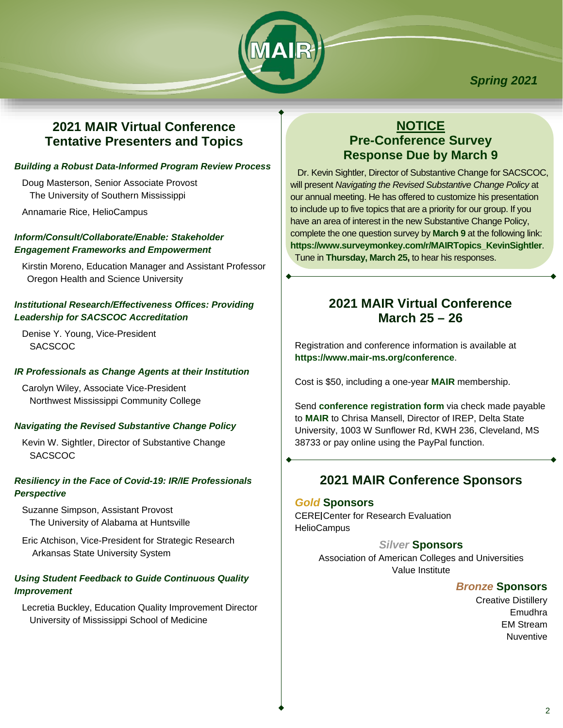

*Spring 2021*

# **2021 MAIR Virtual Conference Tentative Presenters and Topics**

#### *Building a Robust Data-Informed Program Review Process*

 Doug Masterson, Senior Associate Provost The University of Southern Mississippi

Annamarie Rice, HelioCampus

### *Inform/Consult/Collaborate/Enable: Stakeholder Engagement Frameworks and Empowerment*

 Kirstin Moreno, Education Manager and Assistant Professor Oregon Health and Science University

### *Institutional Research/Effectiveness Offices: Providing Leadership for SACSCOC Accreditation*

 Denise Y. Young, Vice-President **SACSCOC** 

### *IR Professionals as Change Agents at their Institution*

 Carolyn Wiley, Associate Vice-President Northwest Mississippi Community College

### *Navigating the Revised Substantive Change Policy*

 Kevin W. Sightler, Director of Substantive Change **SACSCOC** 

### *Resiliency in the Face of Covid-19: IR/IE Professionals Perspective*

 Suzanne Simpson, Assistant Provost The University of Alabama at Huntsville

 Eric Atchison, Vice-President for Strategic Research Arkansas State University System

### *Using Student Feedback to Guide Continuous Quality Improvement*

 Lecretia Buckley, Education Quality Improvement Director University of Mississippi School of Medicine

# **NOTICE Pre-Conference Survey Response Due by March 9**

 Dr. Kevin Sightler, Director of Substantive Change for SACSCOC, will present *Navigating the Revised Substantive Change Policy* at our annual meeting. He has offered to customize his presentation to include up to five topics that are a priority for our group. If you have an area of interest in the new Substantive Change Policy, complete the one question survey by **March 9** at the following link: **[https://www.surveymonkey.com/r/MAIRTopics\\_KevinSightler](https://www.surveymonkey.com/r/MAIRTopics_KevinSightler)**. Tune in **Thursday, March 25,** to hear his responses.

# **2021 MAIR Virtual Conference March 25 – 26**

Registration and conference information is available at **<https://www.mair-ms.org/conference>**.

Cost is \$50, including a one-year **[MAIR](https://www.mair-ms.org/)** membership.

Send **[conference registration form](https://www.mair-ms.org/conference-registration)** via check made payable to **MAIR** to Chrisa Mansell, Director of IREP, Delta State University, 1003 W Sunflower Rd, KWH 236, Cleveland, MS 38733 or pay online using the PayPal function.

# **2021 MAIR Conference Sponsors**

#### *Gold* **Sponsors**

**CERE Center for Research Evaluation HelioCampus** 

### *Silver* **Sponsors**

Association of American Colleges and Universities Value Institute

### *Bronze* **Sponsors**

Creative Distillery Emudhra EM Stream Nuventive